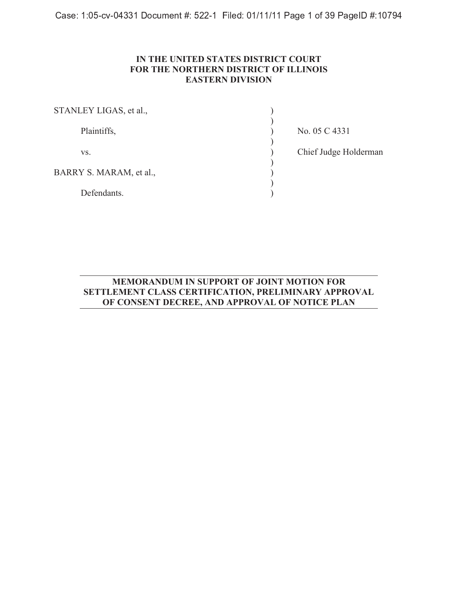-   

## **IN THE UNITED STATES DISTRICT COURT FOR THE NORTHERN DISTRICT OF ILLINOIS EASTERN DIVISION**

| STANLEY LIGAS, et al.,  |                       |
|-------------------------|-----------------------|
| Plaintiffs,             | No. 05 C 4331         |
| VS.                     | Chief Judge Holderman |
| BARRY S. MARAM, et al., |                       |
| Defendants.             |                       |

## **MEMORANDUM IN SUPPORT OF JOINT MOTION FOR SETTLEMENT CLASS CERTIFICATION, PRELIMINARY APPROVAL OF CONSENT DECREE, AND APPROVAL OF NOTICE PLAN**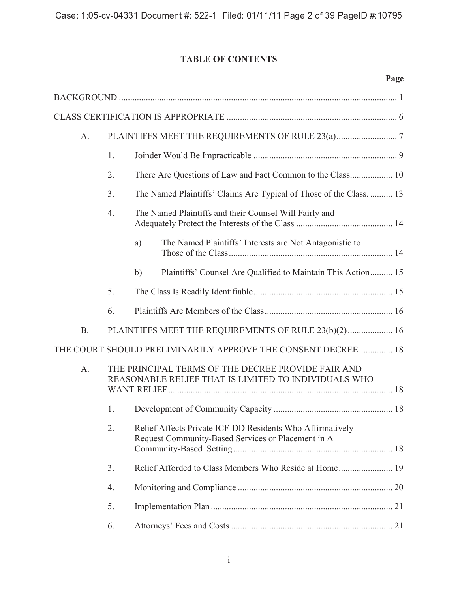# **TABLE OF CONTENTS**

|           |    |                                                                                                                 | Page |
|-----------|----|-----------------------------------------------------------------------------------------------------------------|------|
|           |    |                                                                                                                 |      |
|           |    |                                                                                                                 |      |
| $A$ .     |    |                                                                                                                 |      |
|           | 1. |                                                                                                                 |      |
|           | 2. |                                                                                                                 |      |
|           | 3. | The Named Plaintiffs' Claims Are Typical of Those of the Class.  13                                             |      |
|           | 4. | The Named Plaintiffs and their Counsel Will Fairly and                                                          |      |
|           |    | The Named Plaintiffs' Interests are Not Antagonistic to<br>a)                                                   |      |
|           |    | Plaintiffs' Counsel Are Qualified to Maintain This Action 15<br>b)                                              |      |
|           | 5. |                                                                                                                 |      |
|           | 6. |                                                                                                                 |      |
| <b>B.</b> |    | PLAINTIFFS MEET THE REQUIREMENTS OF RULE 23(b)(2) 16                                                            |      |
|           |    | THE COURT SHOULD PRELIMINARILY APPROVE THE CONSENT DECREE 18                                                    |      |
| $A$ .     |    | THE PRINCIPAL TERMS OF THE DECREE PROVIDE FAIR AND<br>REASONABLE RELIEF THAT IS LIMITED TO INDIVIDUALS WHO      |      |
|           |    |                                                                                                                 |      |
|           | 2. | Relief Affects Private ICF-DD Residents Who Affirmatively<br>Request Community-Based Services or Placement in A |      |
|           | 3. |                                                                                                                 |      |
|           | 4. |                                                                                                                 |      |
|           | 5. |                                                                                                                 |      |
|           | 6. |                                                                                                                 |      |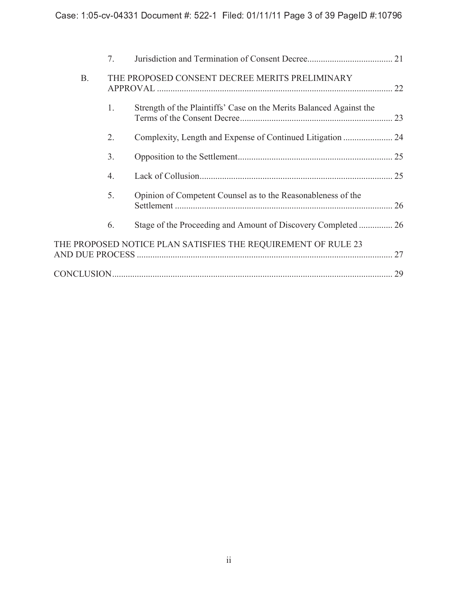|           | 7. |                                                                     |    |
|-----------|----|---------------------------------------------------------------------|----|
| <b>B.</b> |    | THE PROPOSED CONSENT DECREE MERITS PRELIMINARY                      |    |
|           | 1. | Strength of the Plaintiffs' Case on the Merits Balanced Against the |    |
|           | 2. |                                                                     |    |
|           | 3. |                                                                     |    |
|           | 4. |                                                                     |    |
|           | 5. | Opinion of Competent Counsel as to the Reasonableness of the        |    |
|           | 6. |                                                                     |    |
|           |    | THE PROPOSED NOTICE PLAN SATISFIES THE REQUIREMENT OF RULE 23       | 27 |
|           |    |                                                                     | 29 |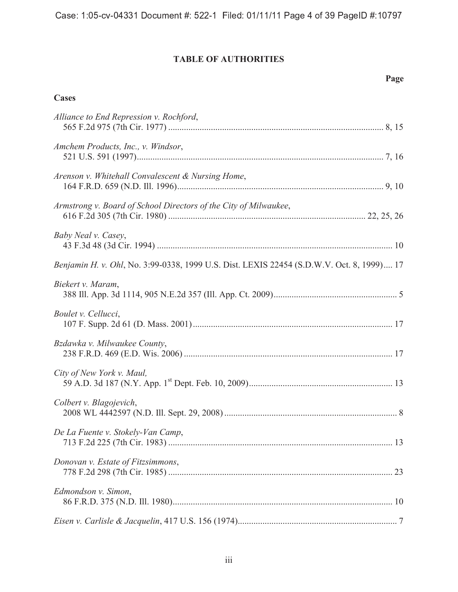# **TABLE OF AUTHORITIES**

**Page**

| Cases                                                                                     |
|-------------------------------------------------------------------------------------------|
| Alliance to End Repression v. Rochford,                                                   |
| Amchem Products, Inc., v. Windsor,                                                        |
| Arenson v. Whitehall Convalescent & Nursing Home,                                         |
| Armstrong v. Board of School Directors of the City of Milwaukee,                          |
| Baby Neal v. Casey,                                                                       |
| Benjamin H. v. Ohl, No. 3:99-0338, 1999 U.S. Dist. LEXIS 22454 (S.D.W.V. Oct. 8, 1999) 17 |
| Biekert v. Maram,                                                                         |
| Boulet v. Cellucci,                                                                       |
| Bzdawka v. Milwaukee County,                                                              |
| City of New York v. Maul,                                                                 |
| Colbert v. Blagojevich,                                                                   |
| De La Fuente v. Stokely-Van Camp,                                                         |
| Donovan v. Estate of Fitzsimmons,                                                         |
| Edmondson v. Simon,                                                                       |
|                                                                                           |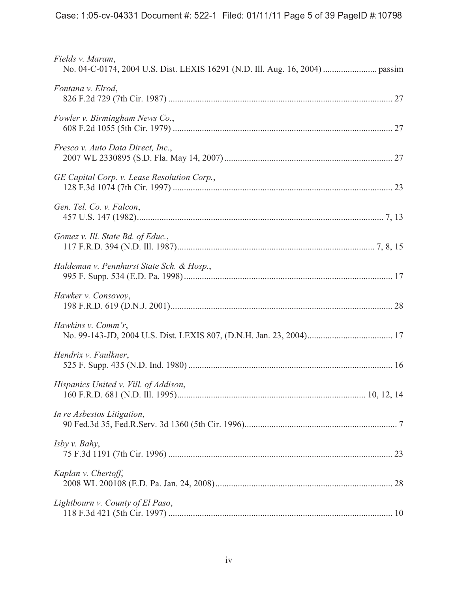| Fields v. Maram,                            |
|---------------------------------------------|
| Fontana v. Elrod,                           |
| Fowler v. Birmingham News Co.,              |
| Fresco v. Auto Data Direct, Inc.,           |
| GE Capital Corp. v. Lease Resolution Corp., |
| Gen. Tel. Co. v. Falcon,                    |
| Gomez v. Ill. State Bd. of Educ.,           |
| Haldeman v. Pennhurst State Sch. & Hosp.,   |
| Hawker v. Consovoy,                         |
| Hawkins v. Comm'r,                          |
| Hendrix v. Faulkner,                        |
| Hispanics United v. Vill. of Addison,       |
| In re Asbestos Litigation,                  |
| Isby v. Bahy,                               |
| Kaplan v. Chertoff,                         |
| Lightbourn v. County of El Paso,            |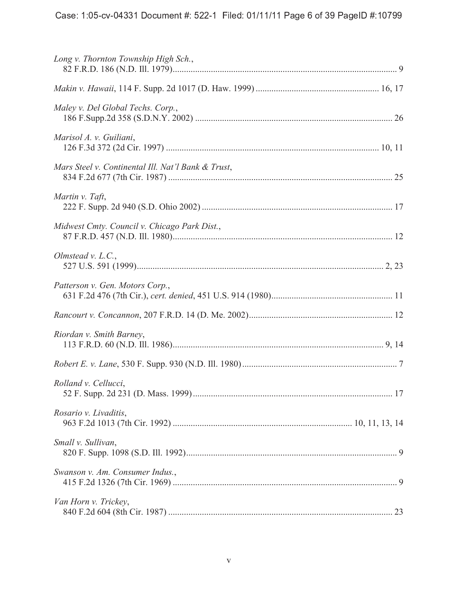| Long v. Thornton Township High Sch.,               |  |
|----------------------------------------------------|--|
|                                                    |  |
| Maley v. Del Global Techs. Corp.,                  |  |
| Marisol A. v. Guiliani,                            |  |
| Mars Steel v. Continental Ill. Nat'l Bank & Trust, |  |
| Martin v. Taft,                                    |  |
| Midwest Cmty. Council v. Chicago Park Dist.,       |  |
| Olmstead v. L.C.,                                  |  |
| Patterson v. Gen. Motors Corp.,                    |  |
|                                                    |  |
| Riordan v. Smith Barney,                           |  |
|                                                    |  |
| Rolland v. Cellucci,                               |  |
| Rosario v. Livaditis,                              |  |
| Small v. Sullivan,                                 |  |
| Swanson v. Am. Consumer Indus.,                    |  |
| Van Horn v. Trickey,                               |  |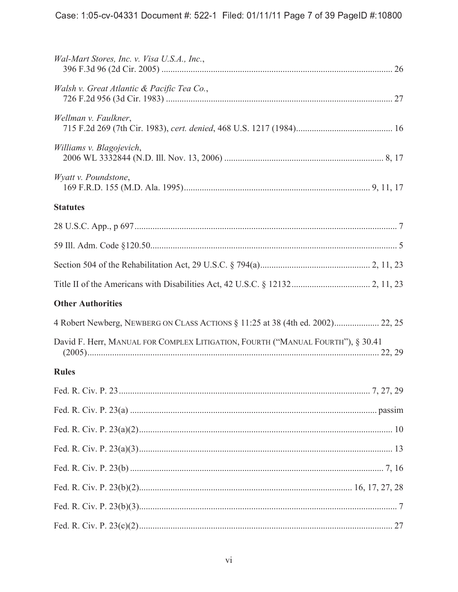| Wal-Mart Stores, Inc. v. Visa U.S.A., Inc.,                                     |  |
|---------------------------------------------------------------------------------|--|
| Walsh v. Great Atlantic & Pacific Tea Co.,                                      |  |
| Wellman v. Faulkner,                                                            |  |
| Williams v. Blagojevich,                                                        |  |
| Wyatt v. Poundstone,                                                            |  |
| <b>Statutes</b>                                                                 |  |
|                                                                                 |  |
|                                                                                 |  |
|                                                                                 |  |
|                                                                                 |  |
| <b>Other Authorities</b>                                                        |  |
| 4 Robert Newberg, NEWBERG ON CLASS ACTIONS § 11:25 at 38 (4th ed. 2002) 22, 25  |  |
| David F. Herr, MANUAL FOR COMPLEX LITIGATION, FOURTH ("MANUAL FOURTH"), § 30.41 |  |
| <b>Rules</b>                                                                    |  |
|                                                                                 |  |
|                                                                                 |  |
|                                                                                 |  |
|                                                                                 |  |
|                                                                                 |  |
|                                                                                 |  |
|                                                                                 |  |
|                                                                                 |  |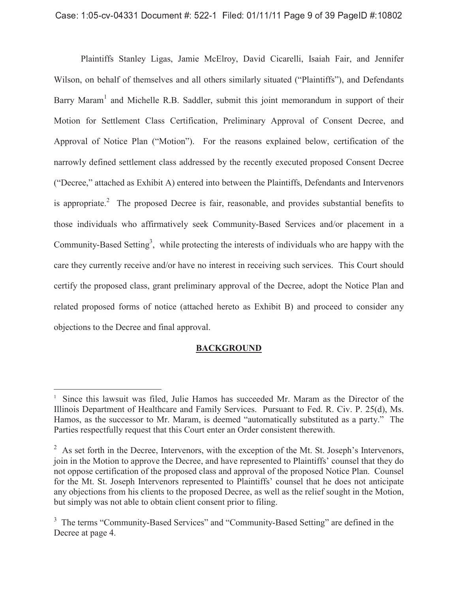### $\bullet$  . The second contract the second contract of the second contract  $\bullet$  . In the second contract of the second contract of the second contract of the second contract of the second contract of the second contract of the

Plaintiffs Stanley Ligas, Jamie McElroy, David Cicarelli, Isaiah Fair, and Jennifer Wilson, on behalf of themselves and all others similarly situated ("Plaintiffs"), and Defendants Barry Maram<sup>1</sup> and Michelle R.B. Saddler, submit this joint memorandum in support of their Motion for Settlement Class Certification, Preliminary Approval of Consent Decree, and Approval of Notice Plan ("Motion"). For the reasons explained below, certification of the narrowly defined settlement class addressed by the recently executed proposed Consent Decree ("Decree," attached as Exhibit A) entered into between the Plaintiffs, Defendants and Intervenors is appropriate.<sup>2</sup> The proposed Decree is fair, reasonable, and provides substantial benefits to those individuals who affirmatively seek Community-Based Services and/or placement in a Community-Based Setting<sup>3</sup>, while protecting the interests of individuals who are happy with the care they currently receive and/or have no interest in receiving such services. This Court should certify the proposed class, grant preliminary approval of the Decree, adopt the Notice Plan and related proposed forms of notice (attached hereto as Exhibit B) and proceed to consider any objections to the Decree and final approval.

#### **BACKGROUND**

 $\overline{a}$ 

<sup>&</sup>lt;sup>1</sup> Since this lawsuit was filed, Julie Hamos has succeeded Mr. Maram as the Director of the Illinois Department of Healthcare and Family Services. Pursuant to Fed. R. Civ. P. 25(d), Ms. Hamos, as the successor to Mr. Maram, is deemed "automatically substituted as a party." The Parties respectfully request that this Court enter an Order consistent therewith.

 $2^2$  As set forth in the Decree, Intervenors, with the exception of the Mt. St. Joseph's Intervenors, join in the Motion to approve the Decree, and have represented to Plaintiffs' counsel that they do not oppose certification of the proposed class and approval of the proposed Notice Plan. Counsel for the Mt. St. Joseph Intervenors represented to Plaintiffs' counsel that he does not anticipate any objections from his clients to the proposed Decree, as well as the relief sought in the Motion, but simply was not able to obtain client consent prior to filing.

<sup>&</sup>lt;sup>3</sup> The terms "Community-Based Services" and "Community-Based Setting" are defined in the Decree at page 4.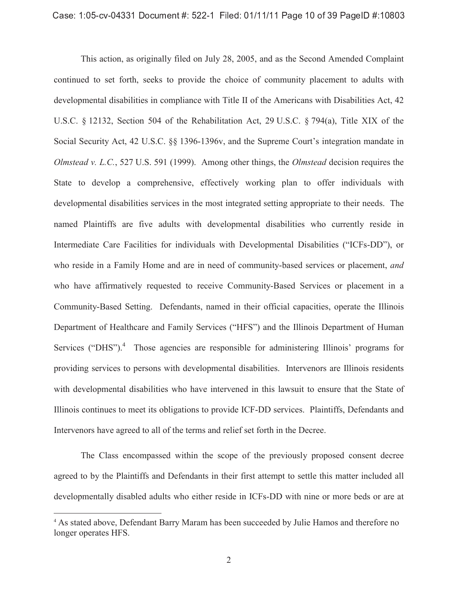This action, as originally filed on July 28, 2005, and as the Second Amended Complaint continued to set forth, seeks to provide the choice of community placement to adults with developmental disabilities in compliance with Title II of the Americans with Disabilities Act, 42 U.S.C. § 12132, Section 504 of the Rehabilitation Act, 29 U.S.C. § 794(a), Title XIX of the Social Security Act, 42 U.S.C. §§ 1396-1396v, and the Supreme Court's integration mandate in *Olmstead v. L.C.*, 527 U.S. 591 (1999). Among other things, the *Olmstead* decision requires the State to develop a comprehensive, effectively working plan to offer individuals with developmental disabilities services in the most integrated setting appropriate to their needs. The named Plaintiffs are five adults with developmental disabilities who currently reside in Intermediate Care Facilities for individuals with Developmental Disabilities ("ICFs-DD"), or who reside in a Family Home and are in need of community-based services or placement, *and* who have affirmatively requested to receive Community-Based Services or placement in a Community-Based Setting. Defendants, named in their official capacities, operate the Illinois Department of Healthcare and Family Services ("HFS") and the Illinois Department of Human Services ("DHS").<sup>4</sup> Those agencies are responsible for administering Illinois' programs for providing services to persons with developmental disabilities. Intervenors are Illinois residents with developmental disabilities who have intervened in this lawsuit to ensure that the State of Illinois continues to meet its obligations to provide ICF-DD services. Plaintiffs, Defendants and Intervenors have agreed to all of the terms and relief set forth in the Decree.

The Class encompassed within the scope of the previously proposed consent decree agreed to by the Plaintiffs and Defendants in their first attempt to settle this matter included all developmentally disabled adults who either reside in ICFs-DD with nine or more beds or are at

 $\overline{a}$ 

<sup>4</sup> As stated above, Defendant Barry Maram has been succeeded by Julie Hamos and therefore no longer operates HFS.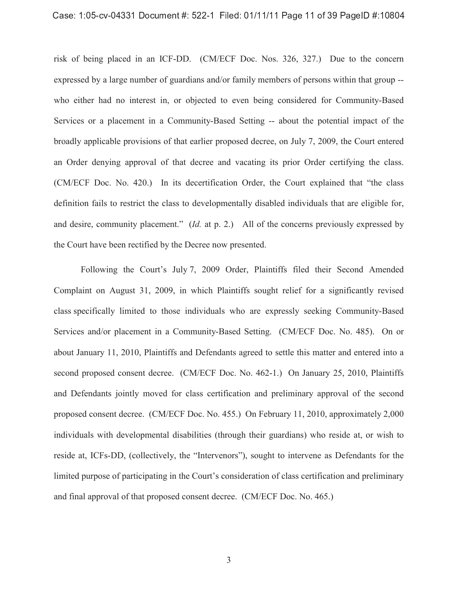#### $\bullet$  . The second contract the second contract of the second contract  $\bullet$  . In the second contract of the second contract of the second contract of the second contract of the second contract of the second contract of the

risk of being placed in an ICF-DD. (CM/ECF Doc. Nos. 326, 327.) Due to the concern expressed by a large number of guardians and/or family members of persons within that group - who either had no interest in, or objected to even being considered for Community-Based Services or a placement in a Community-Based Setting -- about the potential impact of the broadly applicable provisions of that earlier proposed decree, on July 7, 2009, the Court entered an Order denying approval of that decree and vacating its prior Order certifying the class. (CM/ECF Doc. No. 420.) In its decertification Order, the Court explained that "the class definition fails to restrict the class to developmentally disabled individuals that are eligible for, and desire, community placement." (*Id.* at p. 2.) All of the concerns previously expressed by the Court have been rectified by the Decree now presented.

Following the Court's July 7, 2009 Order, Plaintiffs filed their Second Amended Complaint on August 31, 2009, in which Plaintiffs sought relief for a significantly revised class specifically limited to those individuals who are expressly seeking Community-Based Services and/or placement in a Community-Based Setting. (CM/ECF Doc. No. 485). On or about January 11, 2010, Plaintiffs and Defendants agreed to settle this matter and entered into a second proposed consent decree. (CM/ECF Doc. No. 462-1.) On January 25, 2010, Plaintiffs and Defendants jointly moved for class certification and preliminary approval of the second proposed consent decree. (CM/ECF Doc. No. 455.) On February 11, 2010, approximately 2,000 individuals with developmental disabilities (through their guardians) who reside at, or wish to reside at, ICFs-DD, (collectively, the "Intervenors"), sought to intervene as Defendants for the limited purpose of participating in the Court's consideration of class certification and preliminary and final approval of that proposed consent decree. (CM/ECF Doc. No. 465.)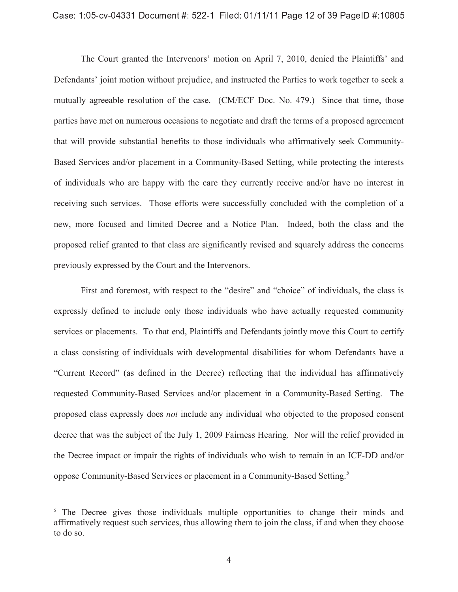The Court granted the Intervenors' motion on April 7, 2010, denied the Plaintiffs' and Defendants' joint motion without prejudice, and instructed the Parties to work together to seek a mutually agreeable resolution of the case. (CM/ECF Doc. No. 479.) Since that time, those parties have met on numerous occasions to negotiate and draft the terms of a proposed agreement that will provide substantial benefits to those individuals who affirmatively seek Community-Based Services and/or placement in a Community-Based Setting, while protecting the interests of individuals who are happy with the care they currently receive and/or have no interest in receiving such services. Those efforts were successfully concluded with the completion of a new, more focused and limited Decree and a Notice Plan. Indeed, both the class and the proposed relief granted to that class are significantly revised and squarely address the concerns previously expressed by the Court and the Intervenors.

First and foremost, with respect to the "desire" and "choice" of individuals, the class is expressly defined to include only those individuals who have actually requested community services or placements. To that end, Plaintiffs and Defendants jointly move this Court to certify a class consisting of individuals with developmental disabilities for whom Defendants have a "Current Record" (as defined in the Decree) reflecting that the individual has affirmatively requested Community-Based Services and/or placement in a Community-Based Setting. The proposed class expressly does *not* include any individual who objected to the proposed consent decree that was the subject of the July 1, 2009 Fairness Hearing. Nor will the relief provided in the Decree impact or impair the rights of individuals who wish to remain in an ICF-DD and/or oppose Community-Based Services or placement in a Community-Based Setting.<sup>5</sup>

 $\overline{a}$ 

<sup>&</sup>lt;sup>5</sup> The Decree gives those individuals multiple opportunities to change their minds and affirmatively request such services, thus allowing them to join the class, if and when they choose to do so.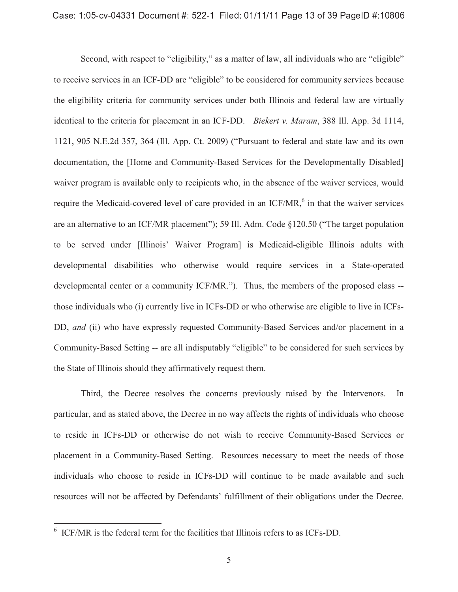Second, with respect to "eligibility," as a matter of law, all individuals who are "eligible" to receive services in an ICF-DD are "eligible" to be considered for community services because the eligibility criteria for community services under both Illinois and federal law are virtually identical to the criteria for placement in an ICF-DD. *Biekert v. Maram*, 388 Ill. App. 3d 1114, 1121, 905 N.E.2d 357, 364 (Ill. App. Ct. 2009) ("Pursuant to federal and state law and its own documentation, the [Home and Community-Based Services for the Developmentally Disabled] waiver program is available only to recipients who, in the absence of the waiver services, would require the Medicaid-covered level of care provided in an  $ICF/MR$ ,  $6$  in that the waiver services are an alternative to an ICF/MR placement"); 59 Ill. Adm. Code §120.50 ("The target population to be served under [Illinois' Waiver Program] is Medicaid-eligible Illinois adults with developmental disabilities who otherwise would require services in a State-operated developmental center or a community ICF/MR."). Thus, the members of the proposed class - those individuals who (i) currently live in ICFs-DD or who otherwise are eligible to live in ICFs-DD, *and* (ii) who have expressly requested Community-Based Services and/or placement in a Community-Based Setting -- are all indisputably "eligible" to be considered for such services by the State of Illinois should they affirmatively request them.

Third, the Decree resolves the concerns previously raised by the Intervenors. In particular, and as stated above, the Decree in no way affects the rights of individuals who choose to reside in ICFs-DD or otherwise do not wish to receive Community-Based Services or placement in a Community-Based Setting. Resources necessary to meet the needs of those individuals who choose to reside in ICFs-DD will continue to be made available and such resources will not be affected by Defendants' fulfillment of their obligations under the Decree.

 6 ICF/MR is the federal term for the facilities that Illinois refers to as ICFs-DD.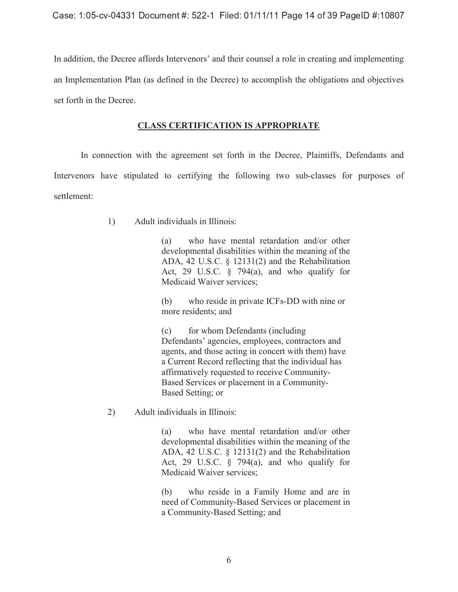In addition, the Decree affords Intervenors' and their counsel a role in creating and implementing an Implementation Plan (as defined in the Decree) to accomplish the obligations and objectives set forth in the Decree.

## **CLASS CERTIFICATION IS APPROPRIATE**

In connection with the agreement set forth in the Decree, Plaintiffs, Defendants and Intervenors have stipulated to certifying the following two sub-classes for purposes of settlement:

1) Adult individuals in Illinois:

(a) who have mental retardation and/or other developmental disabilities within the meaning of the ADA, 42 U.S.C. § 12131(2) and the Rehabilitation Act, 29 U.S.C.  $\frac{6}{7}$  794(a), and who qualify for Medicaid Waiver services;

(b) who reside in private ICFs-DD with nine or more residents; and

(c) for whom Defendants (including Defendants' agencies, employees, contractors and agents, and those acting in concert with them) have a Current Record reflecting that the individual has affirmatively requested to receive Community-Based Services or placement in a Community-Based Setting; or

2) Adult individuals in Illinois:

(a) who have mental retardation and/or other developmental disabilities within the meaning of the ADA, 42 U.S.C. § 12131(2) and the Rehabilitation Act, 29 U.S.C.  $\frac{6}{7}$  794(a), and who qualify for Medicaid Waiver services;

(b) who reside in a Family Home and are in need of Community-Based Services or placement in a Community-Based Setting; and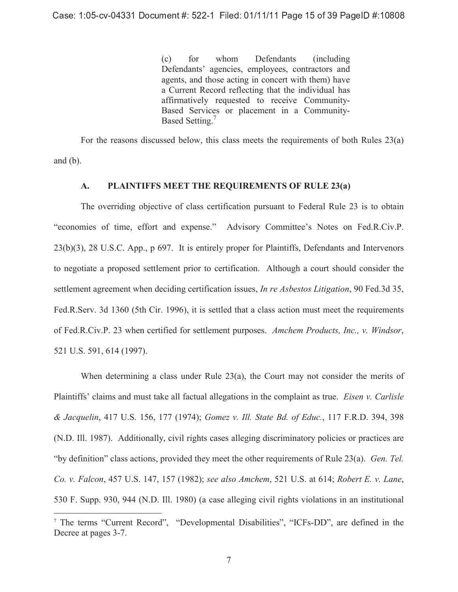(c) for whom Defendants (including Defendants' agencies, employees, contractors and agents, and those acting in concert with them) have a Current Record reflecting that the individual has affirmatively requested to receive Community-Based Services or placement in a Community-Based Setting.<sup>7</sup>

For the reasons discussed below, this class meets the requirements of both Rules 23(a) and  $(b)$ .

### **A. PLAINTIFFS MEET THE REQUIREMENTS OF RULE 23(a)**

The overriding objective of class certification pursuant to Federal Rule 23 is to obtain "economies of time, effort and expense." Advisory Committee's Notes on Fed.R.Civ.P. 23(b)(3), 28 U.S.C. App., p 697. It is entirely proper for Plaintiffs, Defendants and Intervenors to negotiate a proposed settlement prior to certification. Although a court should consider the settlement agreement when deciding certification issues, *In re Asbestos Litigation*, 90 Fed.3d 35, Fed.R.Serv. 3d 1360 (5th Cir. 1996), it is settled that a class action must meet the requirements of Fed.R.Civ.P. 23 when certified for settlement purposes. *Amchem Products, Inc., v. Windsor*, 521 U.S. 591, 614 (1997).

When determining a class under Rule 23(a), the Court may not consider the merits of Plaintiffs' claims and must take all factual allegations in the complaint as true. *Eisen v. Carlisle & Jacquelin*, 417 U.S. 156, 177 (1974); *Gomez v. Ill. State Bd. of Educ.*, 117 F.R.D. 394, 398 (N.D. Ill. 1987). Additionally, civil rights cases alleging discriminatory policies or practices are "by definition" class actions, provided they meet the other requirements of Rule 23(a). *Gen. Tel. Co. v. Falcon*, 457 U.S. 147, 157 (1982); *see also Amchem*, 521 U.S. at 614; *Robert E. v. Lane*, 530 F. Supp. 930, 944 (N.D. Ill. 1980) (a case alleging civil rights violations in an institutional

 $\overline{a}$ 

<sup>&</sup>lt;sup>7</sup> The terms "Current Record", "Developmental Disabilities", "ICFs-DD", are defined in the Decree at pages 3-7.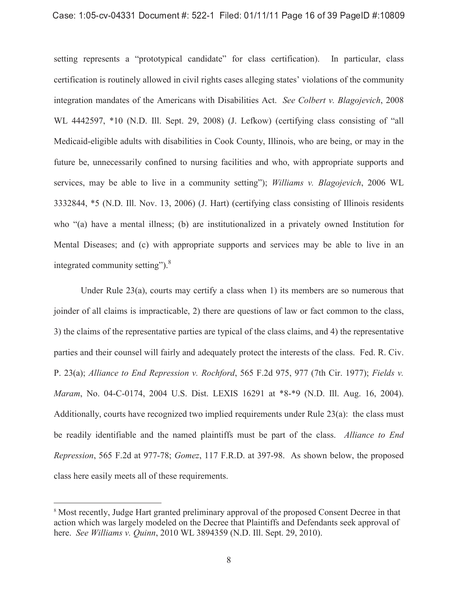#### $\bullet$  . The second contract the second contract of the second contract  $\bullet$  . In the second contract of the second contract of the second contract of the second contract of the second contract of the second contract of the

setting represents a "prototypical candidate" for class certification). In particular, class certification is routinely allowed in civil rights cases alleging states' violations of the community integration mandates of the Americans with Disabilities Act. *See Colbert v. Blagojevich*, 2008 WL 4442597, \*10 (N.D. Ill. Sept. 29, 2008) (J. Lefkow) (certifying class consisting of "all Medicaid-eligible adults with disabilities in Cook County, Illinois, who are being, or may in the future be, unnecessarily confined to nursing facilities and who, with appropriate supports and services, may be able to live in a community setting"); *Williams v. Blagojevich*, 2006 WL 3332844, \*5 (N.D. Ill. Nov. 13, 2006) (J. Hart) (certifying class consisting of Illinois residents who "(a) have a mental illness; (b) are institutionalized in a privately owned Institution for Mental Diseases; and (c) with appropriate supports and services may be able to live in an integrated community setting"). $8$ 

Under Rule  $23(a)$ , courts may certify a class when 1) its members are so numerous that joinder of all claims is impracticable, 2) there are questions of law or fact common to the class, 3) the claims of the representative parties are typical of the class claims, and 4) the representative parties and their counsel will fairly and adequately protect the interests of the class. Fed. R. Civ. P. 23(a); *Alliance to End Repression v. Rochford*, 565 F.2d 975, 977 (7th Cir. 1977); *Fields v. Maram*, No. 04-C-0174, 2004 U.S. Dist. LEXIS 16291 at \*8-\*9 (N.D. Ill. Aug. 16, 2004). Additionally, courts have recognized two implied requirements under Rule 23(a): the class must be readily identifiable and the named plaintiffs must be part of the class. *Alliance to End Repression*, 565 F.2d at 977-78; *Gomez*, 117 F.R.D. at 397-98. As shown below, the proposed class here easily meets all of these requirements.

 $\overline{a}$ 

<sup>&</sup>lt;sup>8</sup> Most recently, Judge Hart granted preliminary approval of the proposed Consent Decree in that action which was largely modeled on the Decree that Plaintiffs and Defendants seek approval of here. *See Williams v. Quinn*, 2010 WL 3894359 (N.D. Ill. Sept. 29, 2010).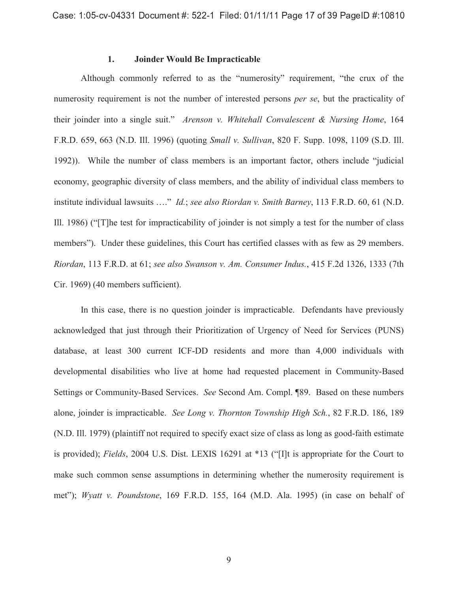### **1. Joinder Would Be Impracticable**

Although commonly referred to as the "numerosity" requirement, "the crux of the numerosity requirement is not the number of interested persons *per se*, but the practicality of their joinder into a single suit." *Arenson v. Whitehall Convalescent & Nursing Home*, 164 F.R.D. 659, 663 (N.D. Ill. 1996) (quoting *Small v. Sullivan*, 820 F. Supp. 1098, 1109 (S.D. Ill. 1992)). While the number of class members is an important factor, others include "judicial economy, geographic diversity of class members, and the ability of individual class members to institute individual lawsuits …." *Id.*; *see also Riordan v. Smith Barney*, 113 F.R.D. 60, 61 (N.D. Ill. 1986) ("[T]he test for impracticability of joinder is not simply a test for the number of class members"). Under these guidelines, this Court has certified classes with as few as 29 members. *Riordan*, 113 F.R.D. at 61; *see also Swanson v. Am. Consumer Indus.*, 415 F.2d 1326, 1333 (7th Cir. 1969) (40 members sufficient).

In this case, there is no question joinder is impracticable. Defendants have previously acknowledged that just through their Prioritization of Urgency of Need for Services (PUNS) database, at least 300 current ICF-DD residents and more than 4,000 individuals with developmental disabilities who live at home had requested placement in Community-Based Settings or Community-Based Services. *See* Second Am. Compl. ¶89. Based on these numbers alone, joinder is impracticable. *See Long v. Thornton Township High Sch.*, 82 F.R.D. 186, 189 (N.D. Ill. 1979) (plaintiff not required to specify exact size of class as long as good-faith estimate is provided); *Fields*, 2004 U.S. Dist. LEXIS 16291 at \*13 ("[I]t is appropriate for the Court to make such common sense assumptions in determining whether the numerosity requirement is met"); *Wyatt v. Poundstone*, 169 F.R.D. 155, 164 (M.D. Ala. 1995) (in case on behalf of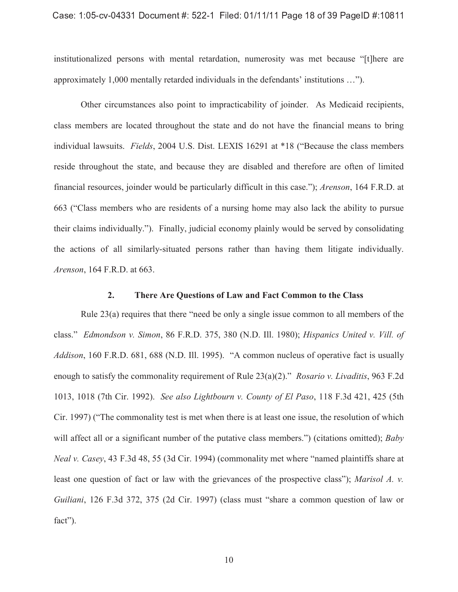#### -   !  !

institutionalized persons with mental retardation, numerosity was met because "[t]here are approximately 1,000 mentally retarded individuals in the defendants' institutions …").

Other circumstances also point to impracticability of joinder. As Medicaid recipients, class members are located throughout the state and do not have the financial means to bring individual lawsuits. *Fields*, 2004 U.S. Dist. LEXIS 16291 at \*18 ("Because the class members reside throughout the state, and because they are disabled and therefore are often of limited financial resources, joinder would be particularly difficult in this case."); *Arenson*, 164 F.R.D. at 663 ("Class members who are residents of a nursing home may also lack the ability to pursue their claims individually."). Finally, judicial economy plainly would be served by consolidating the actions of all similarly-situated persons rather than having them litigate individually. *Arenson*, 164 F.R.D. at 663.

#### **2. There Are Questions of Law and Fact Common to the Class**

Rule 23(a) requires that there "need be only a single issue common to all members of the class." *Edmondson v. Simon*, 86 F.R.D. 375, 380 (N.D. Ill. 1980); *Hispanics United v. Vill. of Addison*, 160 F.R.D. 681, 688 (N.D. Ill. 1995). "A common nucleus of operative fact is usually enough to satisfy the commonality requirement of Rule 23(a)(2)." *Rosario v. Livaditis*, 963 F.2d 1013, 1018 (7th Cir. 1992). *See also Lightbourn v. County of El Paso*, 118 F.3d 421, 425 (5th Cir. 1997) ("The commonality test is met when there is at least one issue, the resolution of which will affect all or a significant number of the putative class members.") (citations omitted); *Baby Neal v. Casey*, 43 F.3d 48, 55 (3d Cir. 1994) (commonality met where "named plaintiffs share at least one question of fact or law with the grievances of the prospective class"); *Marisol A. v. Guiliani*, 126 F.3d 372, 375 (2d Cir. 1997) (class must "share a common question of law or fact").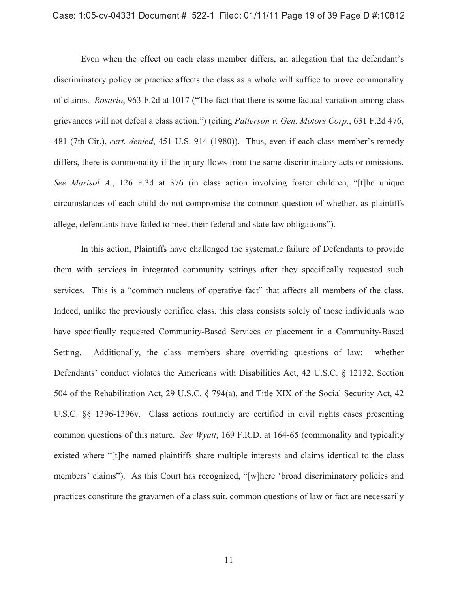#### -    !

Even when the effect on each class member differs, an allegation that the defendant's discriminatory policy or practice affects the class as a whole will suffice to prove commonality of claims. *Rosario*, 963 F.2d at 1017 ("The fact that there is some factual variation among class grievances will not defeat a class action.") (citing *Patterson v. Gen. Motors Corp.*, 631 F.2d 476, 481 (7th Cir.), *cert. denied*, 451 U.S. 914 (1980)). Thus, even if each class member's remedy differs, there is commonality if the injury flows from the same discriminatory acts or omissions. *See Marisol A.*, 126 F.3d at 376 (in class action involving foster children, "[t]he unique circumstances of each child do not compromise the common question of whether, as plaintiffs allege, defendants have failed to meet their federal and state law obligations").

In this action, Plaintiffs have challenged the systematic failure of Defendants to provide them with services in integrated community settings after they specifically requested such services. This is a "common nucleus of operative fact" that affects all members of the class. Indeed, unlike the previously certified class, this class consists solely of those individuals who have specifically requested Community-Based Services or placement in a Community-Based Setting. Additionally, the class members share overriding questions of law: whether Defendants' conduct violates the Americans with Disabilities Act, 42 U.S.C. § 12132, Section 504 of the Rehabilitation Act, 29 U.S.C. § 794(a), and Title XIX of the Social Security Act, 42 U.S.C. §§ 1396-1396v. Class actions routinely are certified in civil rights cases presenting common questions of this nature. *See Wyatt*, 169 F.R.D. at 164-65 (commonality and typicality existed where "[t]he named plaintiffs share multiple interests and claims identical to the class members' claims"). As this Court has recognized, "[w]here 'broad discriminatory policies and practices constitute the gravamen of a class suit, common questions of law or fact are necessarily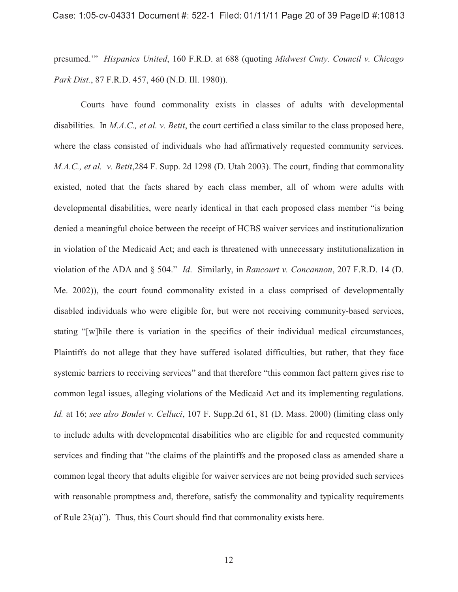presumed.'" *Hispanics United*, 160 F.R.D. at 688 (quoting *Midwest Cmty. Council v. Chicago Park Dist.*, 87 F.R.D. 457, 460 (N.D. Ill. 1980)).

Courts have found commonality exists in classes of adults with developmental disabilities. In *M.A.C., et al. v. Betit*, the court certified a class similar to the class proposed here, where the class consisted of individuals who had affirmatively requested community services. *M.A.C., et al. v. Betit*,284 F. Supp. 2d 1298 (D. Utah 2003). The court, finding that commonality existed, noted that the facts shared by each class member, all of whom were adults with developmental disabilities, were nearly identical in that each proposed class member "is being denied a meaningful choice between the receipt of HCBS waiver services and institutionalization in violation of the Medicaid Act; and each is threatened with unnecessary institutionalization in violation of the ADA and § 504." *Id*. Similarly, in *Rancourt v. Concannon*, 207 F.R.D. 14 (D. Me. 2002)), the court found commonality existed in a class comprised of developmentally disabled individuals who were eligible for, but were not receiving community-based services, stating "[w]hile there is variation in the specifics of their individual medical circumstances, Plaintiffs do not allege that they have suffered isolated difficulties, but rather, that they face systemic barriers to receiving services" and that therefore "this common fact pattern gives rise to common legal issues, alleging violations of the Medicaid Act and its implementing regulations. *Id.* at 16; *see also Boulet v. Celluci*, 107 F. Supp.2d 61, 81 (D. Mass. 2000) (limiting class only to include adults with developmental disabilities who are eligible for and requested community services and finding that "the claims of the plaintiffs and the proposed class as amended share a common legal theory that adults eligible for waiver services are not being provided such services with reasonable promptness and, therefore, satisfy the commonality and typicality requirements of Rule 23(a)"). Thus, this Court should find that commonality exists here.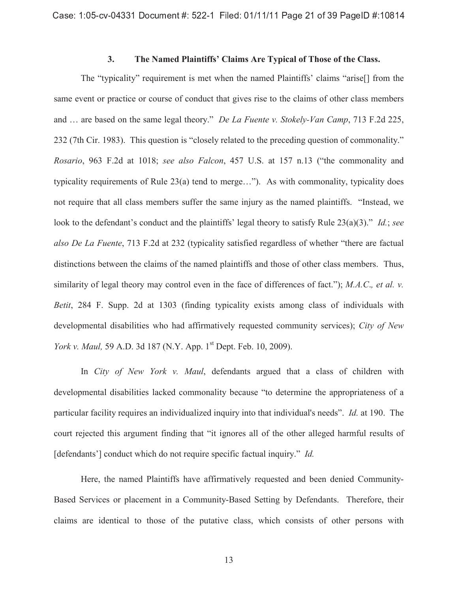## **3. The Named Plaintiffs' Claims Are Typical of Those of the Class.**

The "typicality" requirement is met when the named Plaintiffs' claims "arise[] from the same event or practice or course of conduct that gives rise to the claims of other class members and … are based on the same legal theory." *De La Fuente v. Stokely-Van Camp*, 713 F.2d 225, 232 (7th Cir. 1983). This question is "closely related to the preceding question of commonality." *Rosario*, 963 F.2d at 1018; *see also Falcon*, 457 U.S. at 157 n.13 ("the commonality and typicality requirements of Rule 23(a) tend to merge…"). As with commonality, typicality does not require that all class members suffer the same injury as the named plaintiffs. "Instead, we look to the defendant's conduct and the plaintiffs' legal theory to satisfy Rule 23(a)(3)." *Id.*; *see also De La Fuente*, 713 F.2d at 232 (typicality satisfied regardless of whether "there are factual distinctions between the claims of the named plaintiffs and those of other class members. Thus, similarity of legal theory may control even in the face of differences of fact."); *M.A.C*.*, et al. v. Betit*, 284 F. Supp. 2d at 1303 (finding typicality exists among class of individuals with developmental disabilities who had affirmatively requested community services); *City of New York v. Maul,* 59 A.D. 3d 187 (N.Y. App. 1<sup>st</sup> Dept. Feb. 10, 2009).

In *City of New York v. Maul*, defendants argued that a class of children with developmental disabilities lacked commonality because "to determine the appropriateness of a particular facility requires an individualized inquiry into that individual's needs". *Id.* at 190. The court rejected this argument finding that "it ignores all of the other alleged harmful results of [defendants'] conduct which do not require specific factual inquiry." *Id.* 

Here, the named Plaintiffs have affirmatively requested and been denied Community-Based Services or placement in a Community-Based Setting by Defendants. Therefore, their claims are identical to those of the putative class, which consists of other persons with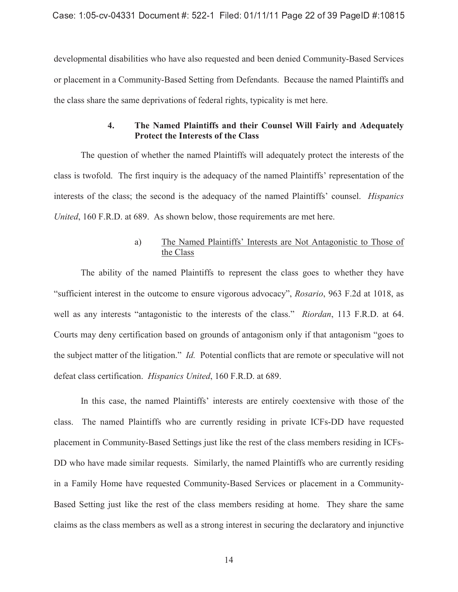developmental disabilities who have also requested and been denied Community-Based Services or placement in a Community-Based Setting from Defendants. Because the named Plaintiffs and the class share the same deprivations of federal rights, typicality is met here.

## **4. The Named Plaintiffs and their Counsel Will Fairly and Adequately Protect the Interests of the Class**

The question of whether the named Plaintiffs will adequately protect the interests of the class is twofold. The first inquiry is the adequacy of the named Plaintiffs' representation of the interests of the class; the second is the adequacy of the named Plaintiffs' counsel. *Hispanics United*, 160 F.R.D. at 689. As shown below, those requirements are met here.

## a) The Named Plaintiffs' Interests are Not Antagonistic to Those of the Class

The ability of the named Plaintiffs to represent the class goes to whether they have "sufficient interest in the outcome to ensure vigorous advocacy", *Rosario*, 963 F.2d at 1018, as well as any interests "antagonistic to the interests of the class." *Riordan*, 113 F.R.D. at 64. Courts may deny certification based on grounds of antagonism only if that antagonism "goes to the subject matter of the litigation." *Id.* Potential conflicts that are remote or speculative will not defeat class certification. *Hispanics United*, 160 F.R.D. at 689.

In this case, the named Plaintiffs' interests are entirely coextensive with those of the class. The named Plaintiffs who are currently residing in private ICFs-DD have requested placement in Community-Based Settings just like the rest of the class members residing in ICFs-DD who have made similar requests. Similarly, the named Plaintiffs who are currently residing in a Family Home have requested Community-Based Services or placement in a Community-Based Setting just like the rest of the class members residing at home. They share the same claims as the class members as well as a strong interest in securing the declaratory and injunctive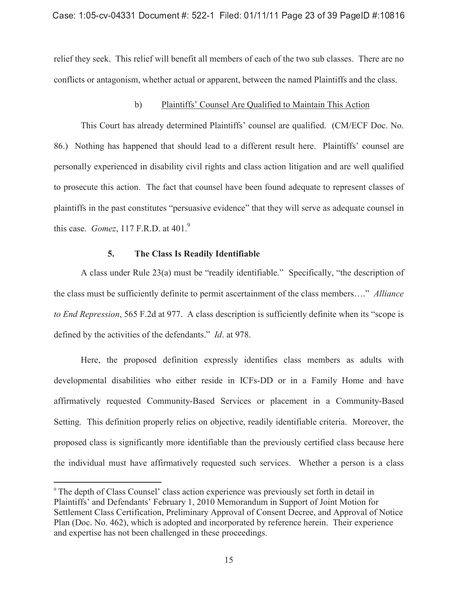relief they seek. This relief will benefit all members of each of the two sub classes. There are no conflicts or antagonism, whether actual or apparent, between the named Plaintiffs and the class.

## b) Plaintiffs' Counsel Are Qualified to Maintain This Action

This Court has already determined Plaintiffs' counsel are qualified. (CM/ECF Doc. No. 86.) Nothing has happened that should lead to a different result here. Plaintiffs' counsel are personally experienced in disability civil rights and class action litigation and are well qualified to prosecute this action. The fact that counsel have been found adequate to represent classes of plaintiffs in the past constitutes "persuasive evidence" that they will serve as adequate counsel in this case. *Gomez*, 117 F.R.D. at 401.<sup>9</sup>

#### **5. The Class Is Readily Identifiable**

 $\overline{a}$ 

A class under Rule 23(a) must be "readily identifiable." Specifically, "the description of the class must be sufficiently definite to permit ascertainment of the class members…." *Alliance to End Repression*, 565 F.2d at 977. A class description is sufficiently definite when its "scope is defined by the activities of the defendants." *Id*. at 978.

Here, the proposed definition expressly identifies class members as adults with developmental disabilities who either reside in ICFs-DD or in a Family Home and have affirmatively requested Community-Based Services or placement in a Community-Based Setting. This definition properly relies on objective, readily identifiable criteria. Moreover, the proposed class is significantly more identifiable than the previously certified class because here the individual must have affirmatively requested such services. Whether a person is a class

<sup>9</sup> The depth of Class Counsel' class action experience was previously set forth in detail in Plaintiffs' and Defendants' February 1, 2010 Memorandum in Support of Joint Motion for Settlement Class Certification, Preliminary Approval of Consent Decree, and Approval of Notice Plan (Doc. No. 462), which is adopted and incorporated by reference herein. Their experience and expertise has not been challenged in these proceedings.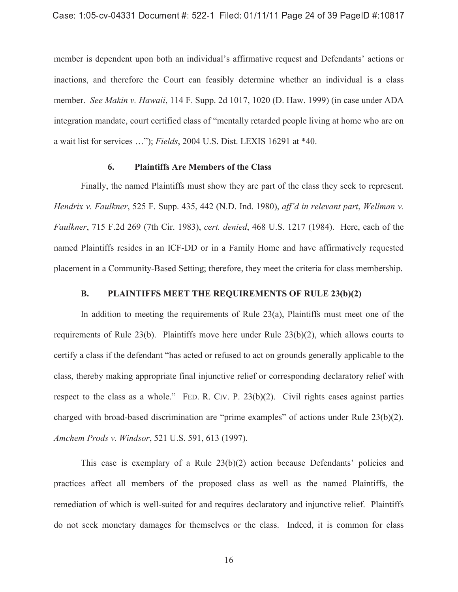member is dependent upon both an individual's affirmative request and Defendants' actions or inactions, and therefore the Court can feasibly determine whether an individual is a class member. *See Makin v. Hawaii*, 114 F. Supp. 2d 1017, 1020 (D. Haw. 1999) (in case under ADA integration mandate, court certified class of "mentally retarded people living at home who are on a wait list for services …"); *Fields*, 2004 U.S. Dist. LEXIS 16291 at \*40.

#### **6. Plaintiffs Are Members of the Class**

Finally, the named Plaintiffs must show they are part of the class they seek to represent. *Hendrix v. Faulkner*, 525 F. Supp. 435, 442 (N.D. Ind. 1980), *aff'd in relevant part*, *Wellman v. Faulkner*, 715 F.2d 269 (7th Cir. 1983), *cert. denied*, 468 U.S. 1217 (1984). Here, each of the named Plaintiffs resides in an ICF-DD or in a Family Home and have affirmatively requested placement in a Community-Based Setting; therefore, they meet the criteria for class membership.

### **B. PLAINTIFFS MEET THE REQUIREMENTS OF RULE 23(b)(2)**

In addition to meeting the requirements of Rule 23(a), Plaintiffs must meet one of the requirements of Rule 23(b). Plaintiffs move here under Rule 23(b)(2), which allows courts to certify a class if the defendant "has acted or refused to act on grounds generally applicable to the class, thereby making appropriate final injunctive relief or corresponding declaratory relief with respect to the class as a whole." FED. R. CIV. P. 23(b)(2). Civil rights cases against parties charged with broad-based discrimination are "prime examples" of actions under Rule 23(b)(2). *Amchem Prods v. Windsor*, 521 U.S. 591, 613 (1997).

This case is exemplary of a Rule 23(b)(2) action because Defendants' policies and practices affect all members of the proposed class as well as the named Plaintiffs, the remediation of which is well-suited for and requires declaratory and injunctive relief. Plaintiffs do not seek monetary damages for themselves or the class. Indeed, it is common for class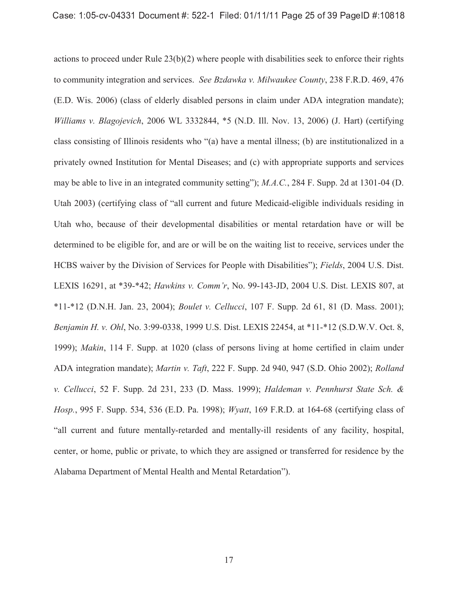actions to proceed under Rule 23(b)(2) where people with disabilities seek to enforce their rights to community integration and services. *See Bzdawka v. Milwaukee County*, 238 F.R.D. 469, 476 (E.D. Wis. 2006) (class of elderly disabled persons in claim under ADA integration mandate); *Williams v. Blagojevich*, 2006 WL 3332844, \*5 (N.D. Ill. Nov. 13, 2006) (J. Hart) (certifying class consisting of Illinois residents who "(a) have a mental illness; (b) are institutionalized in a privately owned Institution for Mental Diseases; and (c) with appropriate supports and services may be able to live in an integrated community setting"); *M.A.C.*, 284 F. Supp. 2d at 1301-04 (D. Utah 2003) (certifying class of "all current and future Medicaid-eligible individuals residing in Utah who, because of their developmental disabilities or mental retardation have or will be determined to be eligible for, and are or will be on the waiting list to receive, services under the HCBS waiver by the Division of Services for People with Disabilities"); *Fields*, 2004 U.S. Dist. LEXIS 16291, at \*39-\*42; *Hawkins v. Comm'r*, No. 99-143-JD, 2004 U.S. Dist. LEXIS 807, at \*11-\*12 (D.N.H. Jan. 23, 2004); *Boulet v. Cellucci*, 107 F. Supp. 2d 61, 81 (D. Mass. 2001); *Benjamin H. v. Ohl*, No. 3:99-0338, 1999 U.S. Dist. LEXIS 22454, at \*11-\*12 (S.D.W.V. Oct. 8, 1999); *Makin*, 114 F. Supp. at 1020 (class of persons living at home certified in claim under ADA integration mandate); *Martin v. Taft*, 222 F. Supp. 2d 940, 947 (S.D. Ohio 2002); *Rolland v. Cellucci*, 52 F. Supp. 2d 231, 233 (D. Mass. 1999); *Haldeman v. Pennhurst State Sch. & Hosp.*, 995 F. Supp. 534, 536 (E.D. Pa. 1998); *Wyatt*, 169 F.R.D. at 164-68 (certifying class of "all current and future mentally-retarded and mentally-ill residents of any facility, hospital, center, or home, public or private, to which they are assigned or transferred for residence by the Alabama Department of Mental Health and Mental Retardation").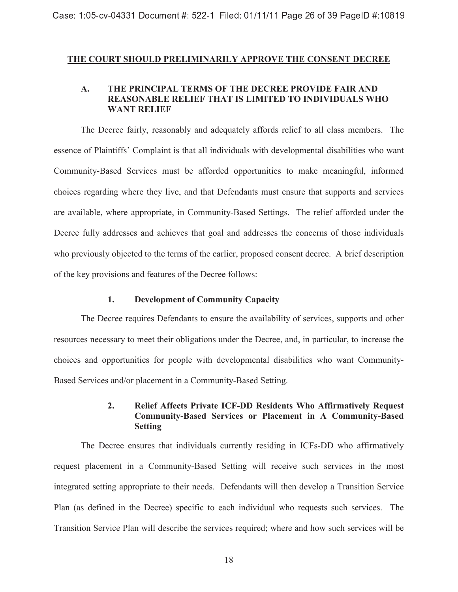### **THE COURT SHOULD PRELIMINARILY APPROVE THE CONSENT DECREE**

## **A. THE PRINCIPAL TERMS OF THE DECREE PROVIDE FAIR AND REASONABLE RELIEF THAT IS LIMITED TO INDIVIDUALS WHO WANT RELIEF**

The Decree fairly, reasonably and adequately affords relief to all class members. The essence of Plaintiffs' Complaint is that all individuals with developmental disabilities who want Community-Based Services must be afforded opportunities to make meaningful, informed choices regarding where they live, and that Defendants must ensure that supports and services are available, where appropriate, in Community-Based Settings. The relief afforded under the Decree fully addresses and achieves that goal and addresses the concerns of those individuals who previously objected to the terms of the earlier, proposed consent decree. A brief description of the key provisions and features of the Decree follows:

### **1. Development of Community Capacity**

The Decree requires Defendants to ensure the availability of services, supports and other resources necessary to meet their obligations under the Decree, and, in particular, to increase the choices and opportunities for people with developmental disabilities who want Community-Based Services and/or placement in a Community-Based Setting.

## **2. Relief Affects Private ICF-DD Residents Who Affirmatively Request Community-Based Services or Placement in A Community-Based Setting**

The Decree ensures that individuals currently residing in ICFs-DD who affirmatively request placement in a Community-Based Setting will receive such services in the most integrated setting appropriate to their needs. Defendants will then develop a Transition Service Plan (as defined in the Decree) specific to each individual who requests such services. The Transition Service Plan will describe the services required; where and how such services will be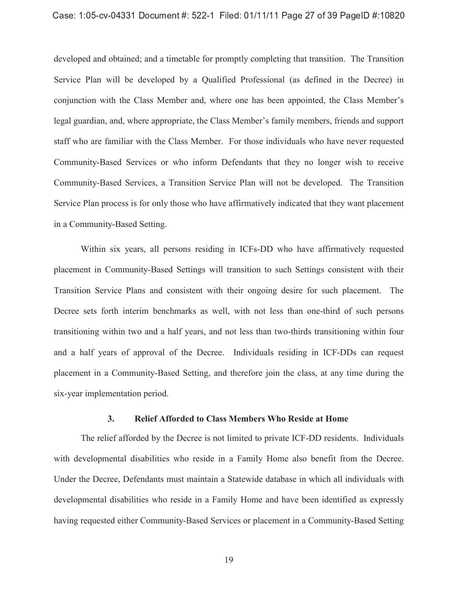#### $\overline{\phantom{a}}$  ,  $\overline{\phantom{a}}$  ,  $\overline{\phantom{a}}$  ,  $\overline{\phantom{a}}$  ,  $\overline{\phantom{a}}$  ,  $\overline{\phantom{a}}$  ,  $\overline{\phantom{a}}$  ,  $\overline{\phantom{a}}$  ,  $\overline{\phantom{a}}$  ,  $\overline{\phantom{a}}$  ,  $\overline{\phantom{a}}$  ,  $\overline{\phantom{a}}$  ,  $\overline{\phantom{a}}$  ,  $\overline{\phantom{a}}$  ,  $\overline{\phantom{a}}$  ,  $\overline{\phantom{a}}$

developed and obtained; and a timetable for promptly completing that transition. The Transition Service Plan will be developed by a Qualified Professional (as defined in the Decree) in conjunction with the Class Member and, where one has been appointed, the Class Member's legal guardian, and, where appropriate, the Class Member's family members, friends and support staff who are familiar with the Class Member. For those individuals who have never requested Community-Based Services or who inform Defendants that they no longer wish to receive Community-Based Services, a Transition Service Plan will not be developed. The Transition Service Plan process is for only those who have affirmatively indicated that they want placement in a Community-Based Setting.

Within six years, all persons residing in ICFs-DD who have affirmatively requested placement in Community-Based Settings will transition to such Settings consistent with their Transition Service Plans and consistent with their ongoing desire for such placement. The Decree sets forth interim benchmarks as well, with not less than one-third of such persons transitioning within two and a half years, and not less than two-thirds transitioning within four and a half years of approval of the Decree. Individuals residing in ICF-DDs can request placement in a Community-Based Setting, and therefore join the class, at any time during the six-year implementation period.

#### **3. Relief Afforded to Class Members Who Reside at Home**

The relief afforded by the Decree is not limited to private ICF-DD residents. Individuals with developmental disabilities who reside in a Family Home also benefit from the Decree. Under the Decree, Defendants must maintain a Statewide database in which all individuals with developmental disabilities who reside in a Family Home and have been identified as expressly having requested either Community-Based Services or placement in a Community-Based Setting

19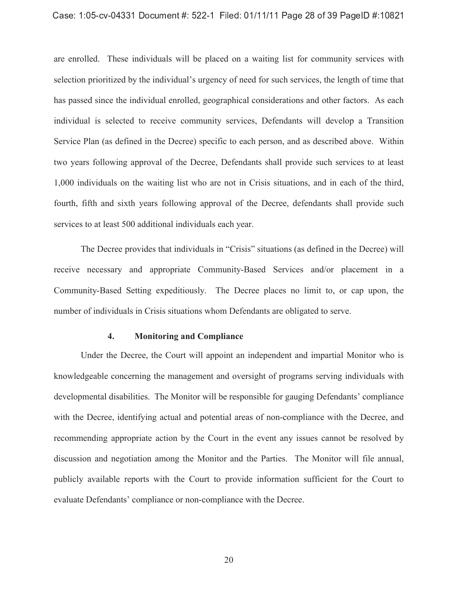#### -   !  !

are enrolled. These individuals will be placed on a waiting list for community services with selection prioritized by the individual's urgency of need for such services, the length of time that has passed since the individual enrolled, geographical considerations and other factors. As each individual is selected to receive community services, Defendants will develop a Transition Service Plan (as defined in the Decree) specific to each person, and as described above. Within two years following approval of the Decree, Defendants shall provide such services to at least 1,000 individuals on the waiting list who are not in Crisis situations, and in each of the third, fourth, fifth and sixth years following approval of the Decree, defendants shall provide such services to at least 500 additional individuals each year.

The Decree provides that individuals in "Crisis" situations (as defined in the Decree) will receive necessary and appropriate Community-Based Services and/or placement in a Community-Based Setting expeditiously. The Decree places no limit to, or cap upon, the number of individuals in Crisis situations whom Defendants are obligated to serve.

### **4. Monitoring and Compliance**

Under the Decree, the Court will appoint an independent and impartial Monitor who is knowledgeable concerning the management and oversight of programs serving individuals with developmental disabilities. The Monitor will be responsible for gauging Defendants' compliance with the Decree, identifying actual and potential areas of non-compliance with the Decree, and recommending appropriate action by the Court in the event any issues cannot be resolved by discussion and negotiation among the Monitor and the Parties. The Monitor will file annual, publicly available reports with the Court to provide information sufficient for the Court to evaluate Defendants' compliance or non-compliance with the Decree.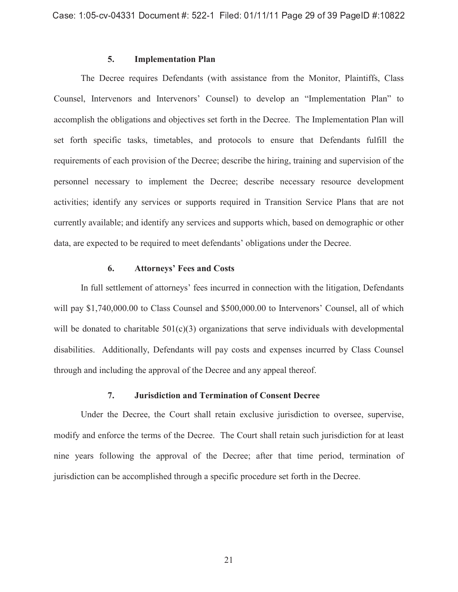### **5. Implementation Plan**

The Decree requires Defendants (with assistance from the Monitor, Plaintiffs, Class Counsel, Intervenors and Intervenors' Counsel) to develop an "Implementation Plan" to accomplish the obligations and objectives set forth in the Decree. The Implementation Plan will set forth specific tasks, timetables, and protocols to ensure that Defendants fulfill the requirements of each provision of the Decree; describe the hiring, training and supervision of the personnel necessary to implement the Decree; describe necessary resource development activities; identify any services or supports required in Transition Service Plans that are not currently available; and identify any services and supports which, based on demographic or other data, are expected to be required to meet defendants' obligations under the Decree.

### **6. Attorneys' Fees and Costs**

In full settlement of attorneys' fees incurred in connection with the litigation, Defendants will pay \$1,740,000.00 to Class Counsel and \$500,000.00 to Intervenors' Counsel, all of which will be donated to charitable  $501(c)(3)$  organizations that serve individuals with developmental disabilities. Additionally, Defendants will pay costs and expenses incurred by Class Counsel through and including the approval of the Decree and any appeal thereof.

#### **7. Jurisdiction and Termination of Consent Decree**

Under the Decree, the Court shall retain exclusive jurisdiction to oversee, supervise, modify and enforce the terms of the Decree. The Court shall retain such jurisdiction for at least nine years following the approval of the Decree; after that time period, termination of jurisdiction can be accomplished through a specific procedure set forth in the Decree.

21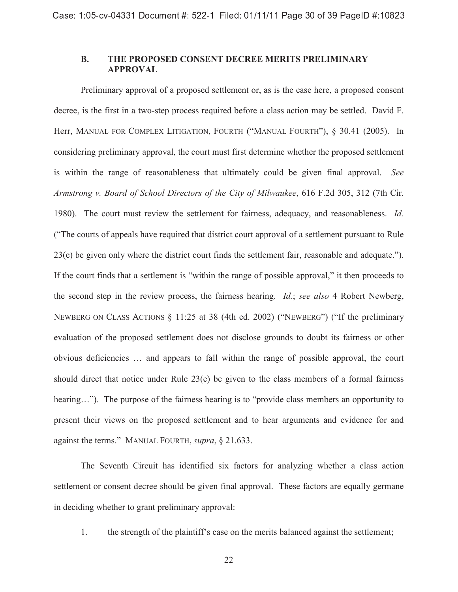## **B. THE PROPOSED CONSENT DECREE MERITS PRELIMINARY APPROVAL**

Preliminary approval of a proposed settlement or, as is the case here, a proposed consent decree, is the first in a two-step process required before a class action may be settled. David F. Herr, MANUAL FOR COMPLEX LITIGATION, FOURTH ("MANUAL FOURTH"), § 30.41 (2005). In considering preliminary approval, the court must first determine whether the proposed settlement is within the range of reasonableness that ultimately could be given final approval. *See Armstrong v. Board of School Directors of the City of Milwaukee*, 616 F.2d 305, 312 (7th Cir. 1980). The court must review the settlement for fairness, adequacy, and reasonableness. *Id.* ("The courts of appeals have required that district court approval of a settlement pursuant to Rule 23(e) be given only where the district court finds the settlement fair, reasonable and adequate."). If the court finds that a settlement is "within the range of possible approval," it then proceeds to the second step in the review process, the fairness hearing. *Id.*; *see also* 4 Robert Newberg, NEWBERG ON CLASS ACTIONS § 11:25 at 38 (4th ed. 2002) ("NEWBERG") ("If the preliminary evaluation of the proposed settlement does not disclose grounds to doubt its fairness or other obvious deficiencies … and appears to fall within the range of possible approval, the court should direct that notice under Rule 23(e) be given to the class members of a formal fairness hearing…"). The purpose of the fairness hearing is to "provide class members an opportunity to present their views on the proposed settlement and to hear arguments and evidence for and against the terms." MANUAL FOURTH, *supra*, § 21.633.

The Seventh Circuit has identified six factors for analyzing whether a class action settlement or consent decree should be given final approval. These factors are equally germane in deciding whether to grant preliminary approval:

1. the strength of the plaintiff's case on the merits balanced against the settlement;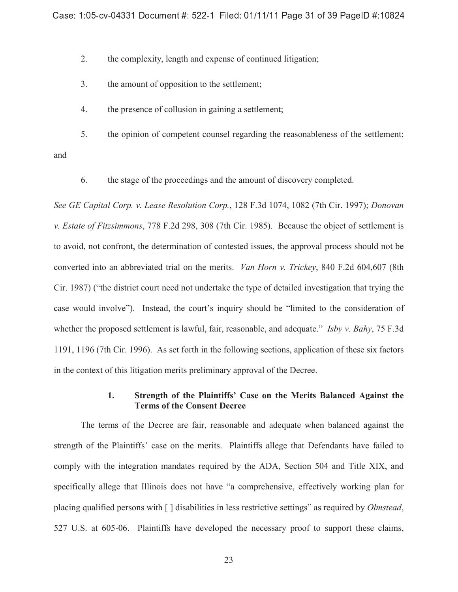2. the complexity, length and expense of continued litigation;

- 3. the amount of opposition to the settlement;
- 4. the presence of collusion in gaining a settlement;

5. the opinion of competent counsel regarding the reasonableness of the settlement;

and

6. the stage of the proceedings and the amount of discovery completed.

*See GE Capital Corp. v. Lease Resolution Corp.*, 128 F.3d 1074, 1082 (7th Cir. 1997); *Donovan v. Estate of Fitzsimmons*, 778 F.2d 298, 308 (7th Cir. 1985). Because the object of settlement is to avoid, not confront, the determination of contested issues, the approval process should not be converted into an abbreviated trial on the merits. *Van Horn v. Trickey*, 840 F.2d 604,607 (8th Cir. 1987) ("the district court need not undertake the type of detailed investigation that trying the case would involve"). Instead, the court's inquiry should be "limited to the consideration of whether the proposed settlement is lawful, fair, reasonable, and adequate." *Isby v. Bahy*, 75 F.3d 1191, 1196 (7th Cir. 1996). As set forth in the following sections, application of these six factors in the context of this litigation merits preliminary approval of the Decree.

## **1. Strength of the Plaintiffs' Case on the Merits Balanced Against the Terms of the Consent Decree**

The terms of the Decree are fair, reasonable and adequate when balanced against the strength of the Plaintiffs' case on the merits. Plaintiffs allege that Defendants have failed to comply with the integration mandates required by the ADA, Section 504 and Title XIX, and specifically allege that Illinois does not have "a comprehensive, effectively working plan for placing qualified persons with [ ] disabilities in less restrictive settings" as required by *Olmstead*, 527 U.S. at 605-06. Plaintiffs have developed the necessary proof to support these claims,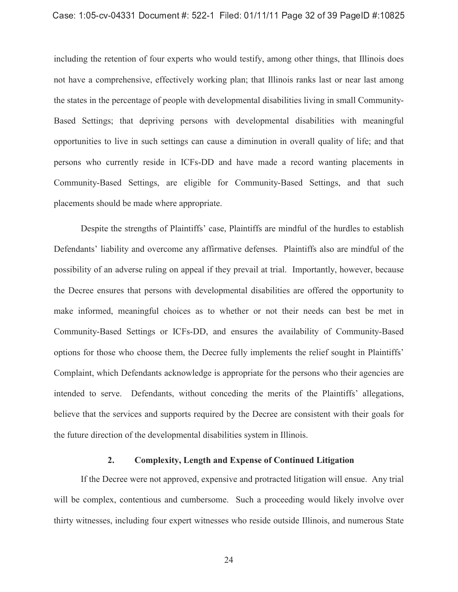#### $\overline{\phantom{a}}$  ,  $\overline{\phantom{a}}$  ,  $\overline{\phantom{a}}$  ,  $\overline{\phantom{a}}$  ,  $\overline{\phantom{a}}$  ,  $\overline{\phantom{a}}$  ,  $\overline{\phantom{a}}$  ,  $\overline{\phantom{a}}$  ,  $\overline{\phantom{a}}$  ,  $\overline{\phantom{a}}$  ,  $\overline{\phantom{a}}$  ,  $\overline{\phantom{a}}$  ,  $\overline{\phantom{a}}$  ,  $\overline{\phantom{a}}$  ,  $\overline{\phantom{a}}$  ,  $\overline{\phantom{a}}$

including the retention of four experts who would testify, among other things, that Illinois does not have a comprehensive, effectively working plan; that Illinois ranks last or near last among the states in the percentage of people with developmental disabilities living in small Community-Based Settings; that depriving persons with developmental disabilities with meaningful opportunities to live in such settings can cause a diminution in overall quality of life; and that persons who currently reside in ICFs-DD and have made a record wanting placements in Community-Based Settings, are eligible for Community-Based Settings, and that such placements should be made where appropriate.

Despite the strengths of Plaintiffs' case, Plaintiffs are mindful of the hurdles to establish Defendants' liability and overcome any affirmative defenses. Plaintiffs also are mindful of the possibility of an adverse ruling on appeal if they prevail at trial. Importantly, however, because the Decree ensures that persons with developmental disabilities are offered the opportunity to make informed, meaningful choices as to whether or not their needs can best be met in Community-Based Settings or ICFs-DD, and ensures the availability of Community-Based options for those who choose them, the Decree fully implements the relief sought in Plaintiffs' Complaint, which Defendants acknowledge is appropriate for the persons who their agencies are intended to serve. Defendants, without conceding the merits of the Plaintiffs' allegations, believe that the services and supports required by the Decree are consistent with their goals for the future direction of the developmental disabilities system in Illinois.

#### **2. Complexity, Length and Expense of Continued Litigation**

If the Decree were not approved, expensive and protracted litigation will ensue. Any trial will be complex, contentious and cumbersome. Such a proceeding would likely involve over thirty witnesses, including four expert witnesses who reside outside Illinois, and numerous State

24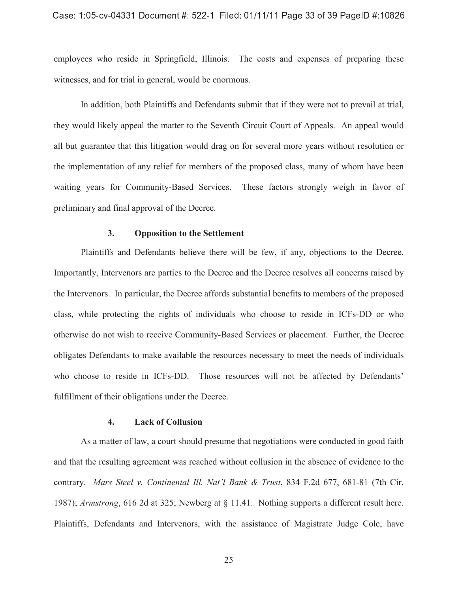#### $\hat{\mathcal{A}}$  , and a set of the set of the set of the set of the set of the set of the set of the set of the set of the set of the set of the set of the set of the set of the set of the set of the set of the set of the set

employees who reside in Springfield, Illinois. The costs and expenses of preparing these witnesses, and for trial in general, would be enormous.

In addition, both Plaintiffs and Defendants submit that if they were not to prevail at trial, they would likely appeal the matter to the Seventh Circuit Court of Appeals. An appeal would all but guarantee that this litigation would drag on for several more years without resolution or the implementation of any relief for members of the proposed class, many of whom have been waiting years for Community-Based Services. These factors strongly weigh in favor of preliminary and final approval of the Decree.

#### **3. Opposition to the Settlement**

Plaintiffs and Defendants believe there will be few, if any, objections to the Decree. Importantly, Intervenors are parties to the Decree and the Decree resolves all concerns raised by the Intervenors. In particular, the Decree affords substantial benefits to members of the proposed class, while protecting the rights of individuals who choose to reside in ICFs-DD or who otherwise do not wish to receive Community-Based Services or placement. Further, the Decree obligates Defendants to make available the resources necessary to meet the needs of individuals who choose to reside in ICFs-DD. Those resources will not be affected by Defendants' fulfillment of their obligations under the Decree.

#### **4. Lack of Collusion**

As a matter of law, a court should presume that negotiations were conducted in good faith and that the resulting agreement was reached without collusion in the absence of evidence to the contrary. *Mars Steel v. Continental Ill. Nat'l Bank & Trust*, 834 F.2d 677, 681-81 (7th Cir. 1987); *Armstrong*, 616 2d at 325; Newberg at § 11.41. Nothing supports a different result here. Plaintiffs, Defendants and Intervenors, with the assistance of Magistrate Judge Cole, have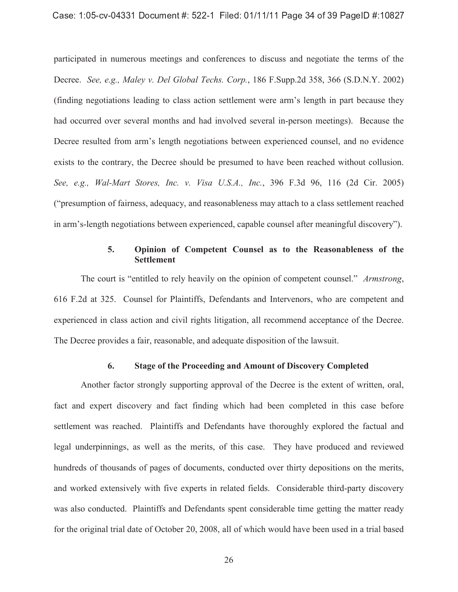participated in numerous meetings and conferences to discuss and negotiate the terms of the Decree. *See, e.g., Maley v. Del Global Techs. Corp.*, 186 F.Supp.2d 358, 366 (S.D.N.Y. 2002) (finding negotiations leading to class action settlement were arm's length in part because they had occurred over several months and had involved several in-person meetings). Because the Decree resulted from arm's length negotiations between experienced counsel, and no evidence exists to the contrary, the Decree should be presumed to have been reached without collusion. *See, e.g., Wal-Mart Stores, Inc. v. Visa U.S.A., Inc.*, 396 F.3d 96, 116 (2d Cir. 2005) ("presumption of fairness, adequacy, and reasonableness may attach to a class settlement reached in arm's-length negotiations between experienced, capable counsel after meaningful discovery").

## **5. Opinion of Competent Counsel as to the Reasonableness of the Settlement**

The court is "entitled to rely heavily on the opinion of competent counsel." *Armstrong*, 616 F.2d at 325. Counsel for Plaintiffs, Defendants and Intervenors, who are competent and experienced in class action and civil rights litigation, all recommend acceptance of the Decree. The Decree provides a fair, reasonable, and adequate disposition of the lawsuit.

## **6. Stage of the Proceeding and Amount of Discovery Completed**

Another factor strongly supporting approval of the Decree is the extent of written, oral, fact and expert discovery and fact finding which had been completed in this case before settlement was reached. Plaintiffs and Defendants have thoroughly explored the factual and legal underpinnings, as well as the merits, of this case. They have produced and reviewed hundreds of thousands of pages of documents, conducted over thirty depositions on the merits, and worked extensively with five experts in related fields. Considerable third-party discovery was also conducted. Plaintiffs and Defendants spent considerable time getting the matter ready for the original trial date of October 20, 2008, all of which would have been used in a trial based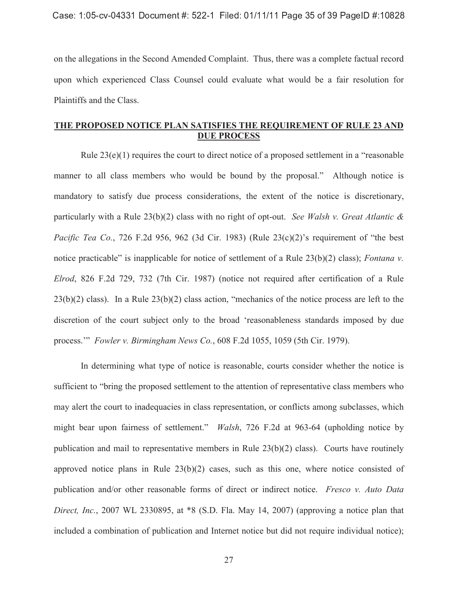on the allegations in the Second Amended Complaint. Thus, there was a complete factual record upon which experienced Class Counsel could evaluate what would be a fair resolution for Plaintiffs and the Class.

## **THE PROPOSED NOTICE PLAN SATISFIES THE REQUIREMENT OF RULE 23 AND DUE PROCESS**

Rule 23(e)(1) requires the court to direct notice of a proposed settlement in a "reasonable manner to all class members who would be bound by the proposal." Although notice is mandatory to satisfy due process considerations, the extent of the notice is discretionary, particularly with a Rule 23(b)(2) class with no right of opt-out. *See Walsh v. Great Atlantic & Pacific Tea Co.*, 726 F.2d 956, 962 (3d Cir. 1983) (Rule 23(c)(2)'s requirement of "the best notice practicable" is inapplicable for notice of settlement of a Rule 23(b)(2) class); *Fontana v. Elrod*, 826 F.2d 729, 732 (7th Cir. 1987) (notice not required after certification of a Rule 23(b)(2) class). In a Rule 23(b)(2) class action, "mechanics of the notice process are left to the discretion of the court subject only to the broad 'reasonableness standards imposed by due process.'" *Fowler v. Birmingham News Co.*, 608 F.2d 1055, 1059 (5th Cir. 1979).

In determining what type of notice is reasonable, courts consider whether the notice is sufficient to "bring the proposed settlement to the attention of representative class members who may alert the court to inadequacies in class representation, or conflicts among subclasses, which might bear upon fairness of settlement." *Walsh*, 726 F.2d at 963-64 (upholding notice by publication and mail to representative members in Rule 23(b)(2) class). Courts have routinely approved notice plans in Rule 23(b)(2) cases, such as this one, where notice consisted of publication and/or other reasonable forms of direct or indirect notice. *Fresco v. Auto Data Direct, Inc.*, 2007 WL 2330895, at \*8 (S.D. Fla. May 14, 2007) (approving a notice plan that included a combination of publication and Internet notice but did not require individual notice);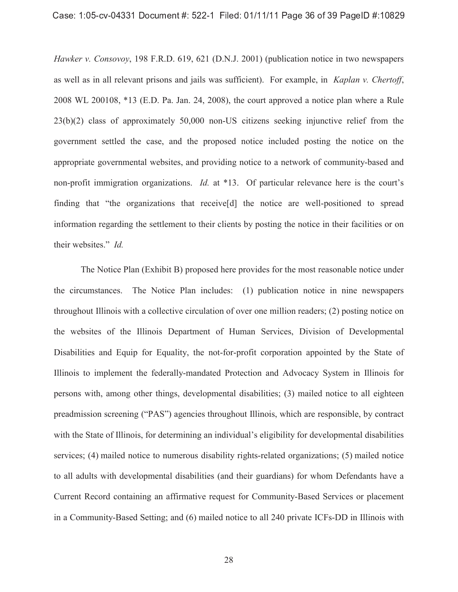#### $\overline{\phantom{a}}$  ,  $\overline{\phantom{a}}$  ,  $\overline{\phantom{a}}$  ,  $\overline{\phantom{a}}$  ,  $\overline{\phantom{a}}$  ,  $\overline{\phantom{a}}$  ,  $\overline{\phantom{a}}$  ,  $\overline{\phantom{a}}$  ,  $\overline{\phantom{a}}$  ,  $\overline{\phantom{a}}$  ,  $\overline{\phantom{a}}$  ,  $\overline{\phantom{a}}$  ,  $\overline{\phantom{a}}$  ,  $\overline{\phantom{a}}$  ,  $\overline{\phantom{a}}$  ,  $\overline{\phantom{a}}$

*Hawker v. Consovoy*, 198 F.R.D. 619, 621 (D.N.J. 2001) (publication notice in two newspapers as well as in all relevant prisons and jails was sufficient). For example, in *Kaplan v. Chertoff*, 2008 WL 200108, \*13 (E.D. Pa. Jan. 24, 2008), the court approved a notice plan where a Rule 23(b)(2) class of approximately 50,000 non-US citizens seeking injunctive relief from the government settled the case, and the proposed notice included posting the notice on the appropriate governmental websites, and providing notice to a network of community-based and non-profit immigration organizations. *Id.* at \*13. Of particular relevance here is the court's finding that "the organizations that receive[d] the notice are well-positioned to spread information regarding the settlement to their clients by posting the notice in their facilities or on their websites." *Id.*

The Notice Plan (Exhibit B) proposed here provides for the most reasonable notice under the circumstances. The Notice Plan includes: (1) publication notice in nine newspapers throughout Illinois with a collective circulation of over one million readers; (2) posting notice on the websites of the Illinois Department of Human Services, Division of Developmental Disabilities and Equip for Equality, the not-for-profit corporation appointed by the State of Illinois to implement the federally-mandated Protection and Advocacy System in Illinois for persons with, among other things, developmental disabilities; (3) mailed notice to all eighteen preadmission screening ("PAS") agencies throughout Illinois, which are responsible, by contract with the State of Illinois, for determining an individual's eligibility for developmental disabilities services; (4) mailed notice to numerous disability rights-related organizations; (5) mailed notice to all adults with developmental disabilities (and their guardians) for whom Defendants have a Current Record containing an affirmative request for Community-Based Services or placement in a Community-Based Setting; and (6) mailed notice to all 240 private ICFs-DD in Illinois with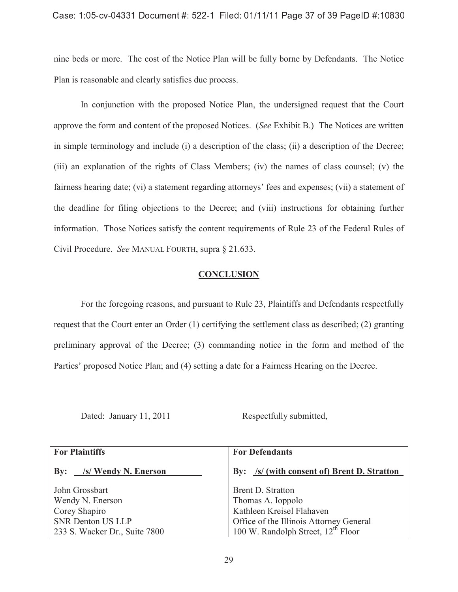### $\overline{\phantom{a}}$  , and a set  $\overline{\phantom{a}}$  , and a set  $\overline{\phantom{a}}$  , and a set  $\overline{\phantom{a}}$  , and  $\overline{\phantom{a}}$  , and  $\overline{\phantom{a}}$

nine beds or more. The cost of the Notice Plan will be fully borne by Defendants. The Notice Plan is reasonable and clearly satisfies due process.

In conjunction with the proposed Notice Plan, the undersigned request that the Court approve the form and content of the proposed Notices. (*See* Exhibit B.) The Notices are written in simple terminology and include (i) a description of the class; (ii) a description of the Decree; (iii) an explanation of the rights of Class Members; (iv) the names of class counsel; (v) the fairness hearing date; (vi) a statement regarding attorneys' fees and expenses; (vii) a statement of the deadline for filing objections to the Decree; and (viii) instructions for obtaining further information. Those Notices satisfy the content requirements of Rule 23 of the Federal Rules of Civil Procedure. *See* MANUAL FOURTH, supra § 21.633.

#### **CONCLUSION**

For the foregoing reasons, and pursuant to Rule 23, Plaintiffs and Defendants respectfully request that the Court enter an Order (1) certifying the settlement class as described; (2) granting preliminary approval of the Decree; (3) commanding notice in the form and method of the Parties' proposed Notice Plan; and (4) setting a date for a Fairness Hearing on the Decree.

Dated: January 11, 2011 Respectfully submitted,

| <b>For Plaintiffs</b>         | <b>For Defendants</b>                          |  |
|-------------------------------|------------------------------------------------|--|
| /s/ Wendy N. Enerson<br>By:   | By: /s/ (with consent of) Brent D. Stratton    |  |
| John Grossbart                | Brent D. Stratton                              |  |
| Wendy N. Enerson              | Thomas A. Ioppolo                              |  |
| Corey Shapiro                 | Kathleen Kreisel Flahaven                      |  |
| <b>SNR Denton US LLP</b>      | Office of the Illinois Attorney General        |  |
| 233 S. Wacker Dr., Suite 7800 | 100 W. Randolph Street, 12 <sup>th</sup> Floor |  |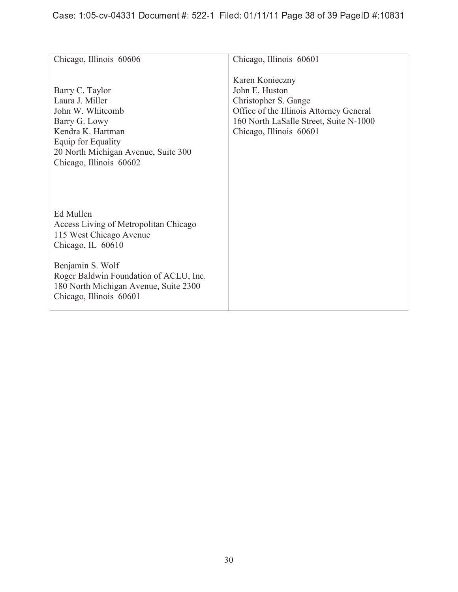| Chicago, Illinois 60606                                                                                                                                                              | Chicago, Illinois 60601                                                                                                                                                   |
|--------------------------------------------------------------------------------------------------------------------------------------------------------------------------------------|---------------------------------------------------------------------------------------------------------------------------------------------------------------------------|
| Barry C. Taylor<br>Laura J. Miller<br>John W. Whitcomb<br>Barry G. Lowy<br>Kendra K. Hartman<br>Equip for Equality<br>20 North Michigan Avenue, Suite 300<br>Chicago, Illinois 60602 | Karen Konieczny<br>John E. Huston<br>Christopher S. Gange<br>Office of the Illinois Attorney General<br>160 North LaSalle Street, Suite N-1000<br>Chicago, Illinois 60601 |
| Ed Mullen<br>Access Living of Metropolitan Chicago<br>115 West Chicago Avenue<br>Chicago, IL 60610                                                                                   |                                                                                                                                                                           |
| Benjamin S. Wolf<br>Roger Baldwin Foundation of ACLU, Inc.<br>180 North Michigan Avenue, Suite 2300<br>Chicago, Illinois 60601                                                       |                                                                                                                                                                           |